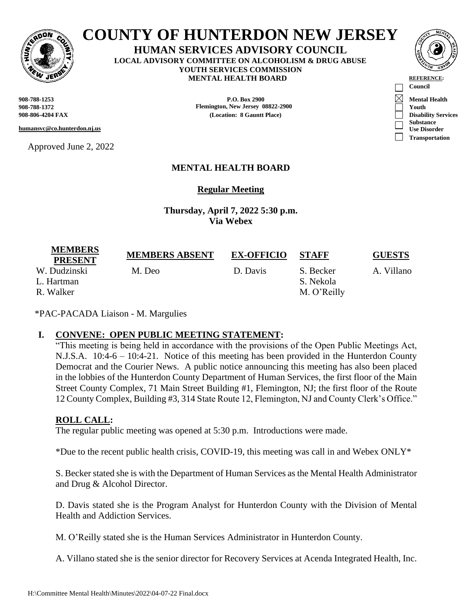

# **COUNTY OF HUNTERDON NEW JERSEY**

**HUMAN SERVICES ADVISORY COUNCIL LOCAL ADVISORY COMMITTEE ON ALCOHOLISM & DRUG ABUSE YOUTH SERVICES COMMISSION MENTAL HEALTH BOARD REFERENCE** 

**humansvc@co.hunterdon.nj.us**

Approved June 2, 2022



**908-788-1253 P.O. Box 2900 Mental Health 908-788-1372 Flemington, New Jersey 08822-2900 Youth 908-806-4204 FAX (Location: 8 Gauntt Place) Disability Services**

# **MENTAL HEALTH BOARD**

**Regular Meeting**

**Thursday, April 7, 2022 5:30 p.m. Via Webex**

| <b>MEMBERS</b><br><b>PRESENT</b>        | <b>MEMBERS ABSENT</b> | <b>EX-OFFICIO</b> | <b>STAFF</b>                          | <b>GUESTS</b> |
|-----------------------------------------|-----------------------|-------------------|---------------------------------------|---------------|
| W. Dudzinski<br>L. Hartman<br>R. Walker | M. Deo                | D. Davis          | S. Becker<br>S. Nekola<br>M. O'Reilly | A. Villano    |

\*PAC-PACADA Liaison - M. Margulies

## **I. CONVENE: OPEN PUBLIC MEETING STATEMENT:**

"This meeting is being held in accordance with the provisions of the Open Public Meetings Act, N.J.S.A. 10:4-6 – 10:4-21. Notice of this meeting has been provided in the Hunterdon County Democrat and the Courier News. A public notice announcing this meeting has also been placed in the lobbies of the Hunterdon County Department of Human Services, the first floor of the Main Street County Complex, 71 Main Street Building #1, Flemington, NJ; the first floor of the Route 12 County Complex, Building #3, 314 State Route 12, Flemington, NJ and County Clerk's Office."

## **ROLL CALL:**

The regular public meeting was opened at 5:30 p.m. Introductions were made.

\*Due to the recent public health crisis, COVID-19, this meeting was call in and Webex ONLY\*

S. Becker stated she is with the Department of Human Services as the Mental Health Administrator and Drug & Alcohol Director.

D. Davis stated she is the Program Analyst for Hunterdon County with the Division of Mental Health and Addiction Services.

M. O'Reilly stated she is the Human Services Administrator in Hunterdon County.

A. Villano stated she is the senior director for Recovery Services at Acenda Integrated Health, Inc.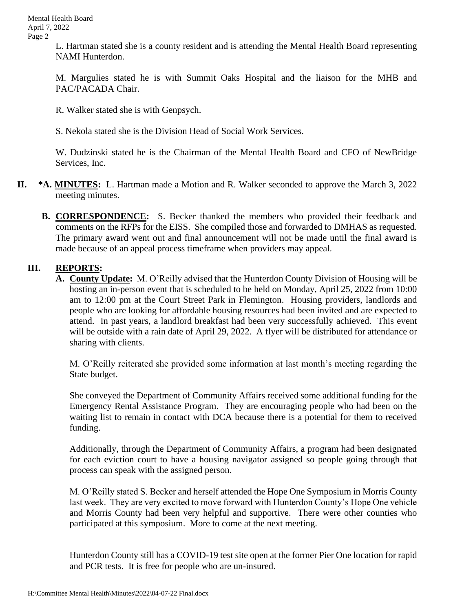L. Hartman stated she is a county resident and is attending the Mental Health Board representing NAMI Hunterdon.

M. Margulies stated he is with Summit Oaks Hospital and the liaison for the MHB and PAC/PACADA Chair.

R. Walker stated she is with Genpsych.

S. Nekola stated she is the Division Head of Social Work Services.

W. Dudzinski stated he is the Chairman of the Mental Health Board and CFO of NewBridge Services, Inc.

- **II. \*A. MINUTES:** L. Hartman made a Motion and R. Walker seconded to approve the March 3, 2022 meeting minutes.
	- **B. CORRESPONDENCE:** S. Becker thanked the members who provided their feedback and comments on the RFPs for the EISS. She compiled those and forwarded to DMHAS as requested. The primary award went out and final announcement will not be made until the final award is made because of an appeal process timeframe when providers may appeal.

#### **III. REPORTS:**

**A. County Update:** M. O'Reilly advised that the Hunterdon County Division of Housing will be hosting an in-person event that is scheduled to be held on Monday, April 25, 2022 from 10:00 am to 12:00 pm at the Court Street Park in Flemington. Housing providers, landlords and people who are looking for affordable housing resources had been invited and are expected to attend. In past years, a landlord breakfast had been very successfully achieved. This event will be outside with a rain date of April 29, 2022. A flyer will be distributed for attendance or sharing with clients.

M. O'Reilly reiterated she provided some information at last month's meeting regarding the State budget.

She conveyed the Department of Community Affairs received some additional funding for the Emergency Rental Assistance Program. They are encouraging people who had been on the waiting list to remain in contact with DCA because there is a potential for them to received funding.

Additionally, through the Department of Community Affairs, a program had been designated for each eviction court to have a housing navigator assigned so people going through that process can speak with the assigned person.

M. O'Reilly stated S. Becker and herself attended the Hope One Symposium in Morris County last week. They are very excited to move forward with Hunterdon County's Hope One vehicle and Morris County had been very helpful and supportive. There were other counties who participated at this symposium. More to come at the next meeting.

Hunterdon County still has a COVID-19 test site open at the former Pier One location for rapid and PCR tests. It is free for people who are un-insured.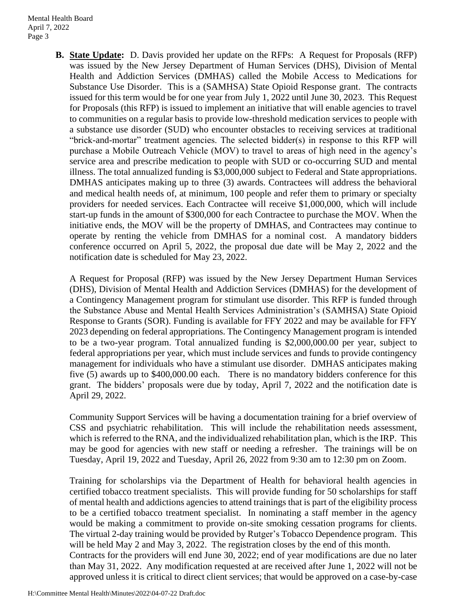**B. State Update:** D. Davis provided her update on the RFPs: A Request for Proposals (RFP) was issued by the New Jersey Department of Human Services (DHS), Division of Mental Health and Addiction Services (DMHAS) called the Mobile Access to Medications for Substance Use Disorder. This is a (SAMHSA) State Opioid Response grant. The contracts issued for this term would be for one year from July 1, 2022 until June 30, 2023. This Request for Proposals (this RFP) is issued to implement an initiative that will enable agencies to travel to communities on a regular basis to provide low-threshold medication services to people with a substance use disorder (SUD) who encounter obstacles to receiving services at traditional "brick-and-mortar" treatment agencies. The selected bidder(s) in response to this RFP will purchase a Mobile Outreach Vehicle (MOV) to travel to areas of high need in the agency's service area and prescribe medication to people with SUD or co-occurring SUD and mental illness. The total annualized funding is \$3,000,000 subject to Federal and State appropriations. DMHAS anticipates making up to three (3) awards. Contractees will address the behavioral and medical health needs of, at minimum, 100 people and refer them to primary or specialty providers for needed services. Each Contractee will receive \$1,000,000, which will include start-up funds in the amount of \$300,000 for each Contractee to purchase the MOV. When the initiative ends, the MOV will be the property of DMHAS, and Contractees may continue to operate by renting the vehicle from DMHAS for a nominal cost. A mandatory bidders conference occurred on April 5, 2022, the proposal due date will be May 2, 2022 and the notification date is scheduled for May 23, 2022.

A Request for Proposal (RFP) was issued by the New Jersey Department Human Services (DHS), Division of Mental Health and Addiction Services (DMHAS) for the development of a Contingency Management program for stimulant use disorder. This RFP is funded through the Substance Abuse and Mental Health Services Administration's (SAMHSA) State Opioid Response to Grants (SOR). Funding is available for FFY 2022 and may be available for FFY 2023 depending on federal appropriations. The Contingency Management program is intended to be a two-year program. Total annualized funding is \$2,000,000.00 per year, subject to federal appropriations per year, which must include services and funds to provide contingency management for individuals who have a stimulant use disorder. DMHAS anticipates making five (5) awards up to \$400,000.00 each. There is no mandatory bidders conference for this grant. The bidders' proposals were due by today, April 7, 2022 and the notification date is April 29, 2022.

Community Support Services will be having a documentation training for a brief overview of CSS and psychiatric rehabilitation. This will include the rehabilitation needs assessment, which is referred to the RNA, and the individualized rehabilitation plan, which is the IRP. This may be good for agencies with new staff or needing a refresher. The trainings will be on Tuesday, April 19, 2022 and Tuesday, April 26, 2022 from 9:30 am to 12:30 pm on Zoom.

Training for scholarships via the Department of Health for behavioral health agencies in certified tobacco treatment specialists. This will provide funding for 50 scholarships for staff of mental health and addictions agencies to attend trainings that is part of the eligibility process to be a certified tobacco treatment specialist. In nominating a staff member in the agency would be making a commitment to provide on-site smoking cessation programs for clients. The virtual 2-day training would be provided by Rutger's Tobacco Dependence program. This will be held May 2 and May 3, 2022. The registration closes by the end of this month. Contracts for the providers will end June 30, 2022; end of year modifications are due no later than May 31, 2022. Any modification requested at are received after June 1, 2022 will not be approved unless it is critical to direct client services; that would be approved on a case-by-case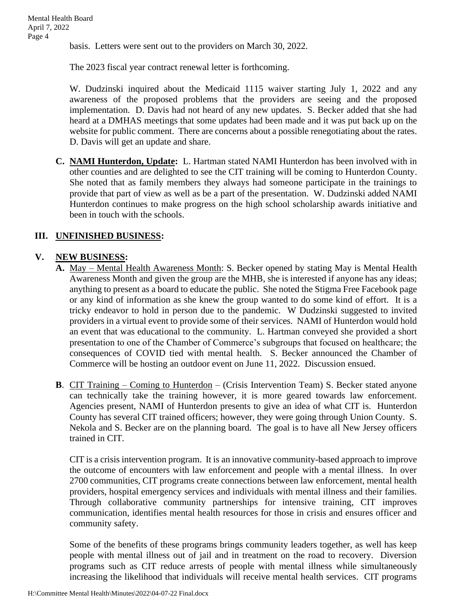basis. Letters were sent out to the providers on March 30, 2022.

The 2023 fiscal year contract renewal letter is forthcoming.

W. Dudzinski inquired about the Medicaid 1115 waiver starting July 1, 2022 and any awareness of the proposed problems that the providers are seeing and the proposed implementation. D. Davis had not heard of any new updates. S. Becker added that she had heard at a DMHAS meetings that some updates had been made and it was put back up on the website for public comment. There are concerns about a possible renegotiating about the rates. D. Davis will get an update and share.

**C. NAMI Hunterdon, Update:** L. Hartman stated NAMI Hunterdon has been involved with in other counties and are delighted to see the CIT training will be coming to Hunterdon County. She noted that as family members they always had someone participate in the trainings to provide that part of view as well as be a part of the presentation. W. Dudzinski added NAMI Hunterdon continues to make progress on the high school scholarship awards initiative and been in touch with the schools.

## **III. UNFINISHED BUSINESS:**

#### **V. NEW BUSINESS:**

- **A.** May Mental Health Awareness Month: S. Becker opened by stating May is Mental Health Awareness Month and given the group are the MHB, she is interested if anyone has any ideas; anything to present as a board to educate the public. She noted the Stigma Free Facebook page or any kind of information as she knew the group wanted to do some kind of effort. It is a tricky endeavor to hold in person due to the pandemic. W Dudzinski suggested to invited providers in a virtual event to provide some of their services. NAMI of Hunterdon would hold an event that was educational to the community. L. Hartman conveyed she provided a short presentation to one of the Chamber of Commerce's subgroups that focused on healthcare; the consequences of COVID tied with mental health. S. Becker announced the Chamber of Commerce will be hosting an outdoor event on June 11, 2022. Discussion ensued.
- **B.** CIT Training Coming to Hunterdon (Crisis Intervention Team) S. Becker stated anyone can technically take the training however, it is more geared towards law enforcement. Agencies present, NAMI of Hunterdon presents to give an idea of what CIT is. Hunterdon County has several CIT trained officers; however, they were going through Union County. S. Nekola and S. Becker are on the planning board. The goal is to have all New Jersey officers trained in CIT.

CIT is a crisis intervention program. It is an innovative community-based approach to improve the outcome of encounters with law enforcement and people with a mental illness. In over 2700 communities, CIT programs create connections between law enforcement, mental health providers, hospital emergency services and individuals with mental illness and their families. Through collaborative community partnerships for intensive training, CIT improves communication, identifies mental health resources for those in crisis and ensures officer and community safety.

Some of the benefits of these programs brings community leaders together, as well has keep people with mental illness out of jail and in treatment on the road to recovery. Diversion programs such as CIT reduce arrests of people with mental illness while simultaneously increasing the likelihood that individuals will receive mental health services. CIT programs